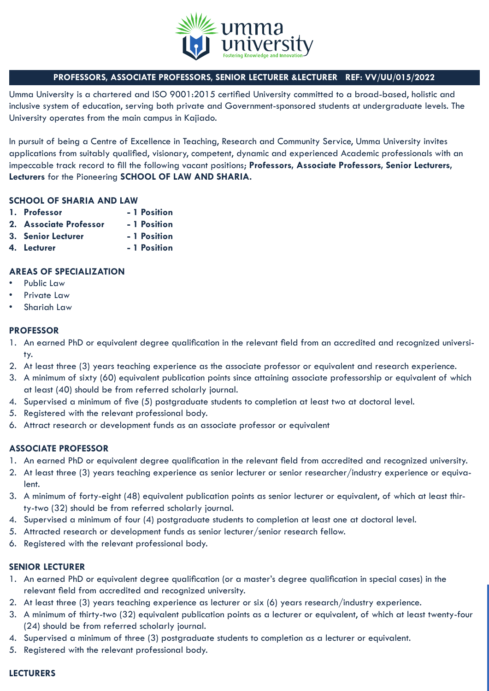

# **PROFESSORS, ASSOCIATE PROFESSORS, SENIOR LECTURER &LECTURER REF: VV/UU/015/2022**

Umma University is a chartered and ISO 9001:2015 certified University committed to a broad-based, holistic and inclusive system of education, serving both private and Government-sponsored students at undergraduate levels. The University operates from the main campus in Kajiado.

In pursuit of being a Centre of Excellence in Teaching, Research and Community Service, Umma University invites applications from suitably qualified, visionary, competent, dynamic and experienced Academic professionals with an impeccable track record to fill the following vacant positions; **Professors, Associate Professors, Senior Lecturers, Lecturers** for the Pioneering **SCHOOL OF LAW AND SHARIA.**

#### **SCHOOL OF SHARIA AND LAW**

- **1. Professor 1 Position**
- **2. Associate Professor 1 Position**
- **3. Senior Lecturer 1 Position**
- **4. Lecturer 1 Position**

## **AREAS OF SPECIALIZATION**

- Public Law
- Private Law
- Shariah Law

#### **PROFESSOR**

- 1. An earned PhD or equivalent degree qualification in the relevant field from an accredited and recognized university.
- 2. At least three (3) years teaching experience as the associate professor or equivalent and research experience.
- 3. A minimum of sixty (60) equivalent publication points since attaining associate professorship or equivalent of which at least (40) should be from referred scholarly journal.
- 4. Supervised a minimum of five (5) postgraduate students to completion at least two at doctoral level.
- 5. Registered with the relevant professional body.
- 6. Attract research or development funds as an associate professor or equivalent

## **ASSOCIATE PROFESSOR**

- 1. An earned PhD or equivalent degree qualification in the relevant field from accredited and recognized university.
- 2. At least three (3) years teaching experience as senior lecturer or senior researcher/industry experience or equivalent.
- 3. A minimum of forty-eight (48) equivalent publication points as senior lecturer or equivalent, of which at least thirty-two (32) should be from referred scholarly journal.
- 4. Supervised a minimum of four (4) postgraduate students to completion at least one at doctoral level.
- 5. Attracted research or development funds as senior lecturer/senior research fellow.
- 6. Registered with the relevant professional body.

## **SENIOR LECTURER**

- 1. An earned PhD or equivalent degree qualification (or a master's degree qualification in special cases) in the relevant field from accredited and recognized university.
- 2. At least three (3) years teaching experience as lecturer or six (6) years research/industry experience.
- 3. A minimum of thirty-two (32) equivalent publication points as a lecturer or equivalent, of which at least twenty-four (24) should be from referred scholarly journal.
- 4. Supervised a minimum of three (3) postgraduate students to completion as a lecturer or equivalent.
- 5. Registered with the relevant professional body.

#### **LECTURERS**